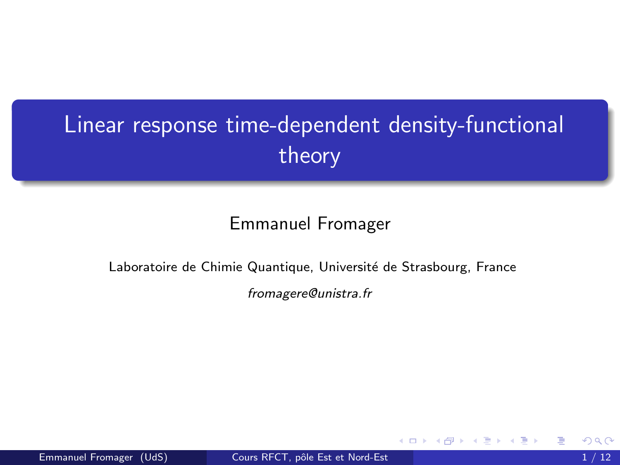# <span id="page-0-0"></span>Linear response time-dependent density-functional theory

#### Emmanuel Fromager

#### Laboratoire de Chimie Quantique, Université de Strasbourg, France

fromagere@unistra.fr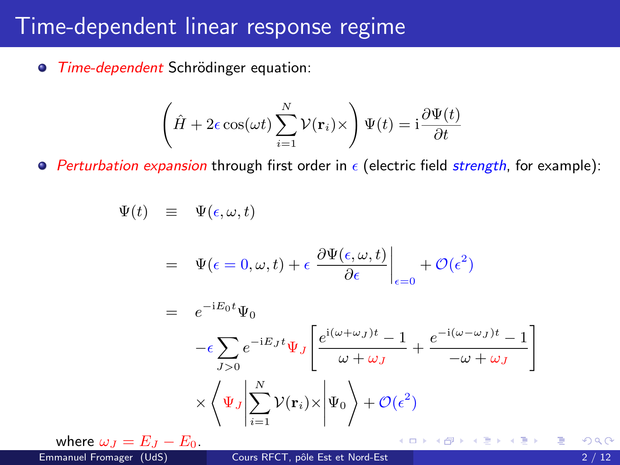#### Time-dependent linear response regime

● Time-dependent Schrödinger equation:

$$
\left(\hat{H} + 2\epsilon \cos(\omega t) \sum_{i=1}^{N} \mathcal{V}(\mathbf{r}_i) \times \right) \Psi(t) = \mathrm{i} \frac{\partial \Psi(t)}{\partial t}
$$

**Perturbation expansion through first order in**  $\epsilon$  **(electric field strength, for example):** 

$$
\Psi(t) \equiv \Psi(\epsilon, \omega, t)
$$
\n
$$
= \Psi(\epsilon = 0, \omega, t) + \epsilon \left. \frac{\partial \Psi(\epsilon, \omega, t)}{\partial \epsilon} \right|_{\epsilon=0} + \mathcal{O}(\epsilon^2)
$$
\n
$$
= e^{-iE_0 t} \Psi_0
$$
\n
$$
- \epsilon \sum_{J>0} e^{-iE_J t} \Psi_J \left[ \frac{e^{i(\omega + \omega_J)t} - 1}{\omega + \omega_J} + \frac{e^{-i(\omega - \omega_J)t} - 1}{-\omega + \omega_J} \right]
$$
\n
$$
\times \left\langle \Psi_J \middle| \sum_{i=1}^N \mathcal{V}(\mathbf{r}_i) \times \middle| \Psi_0 \right\rangle + \mathcal{O}(\epsilon^2)
$$

where  $\omega_J = E_J - E_0$ .<br>Emmanuel Fromager (UdS)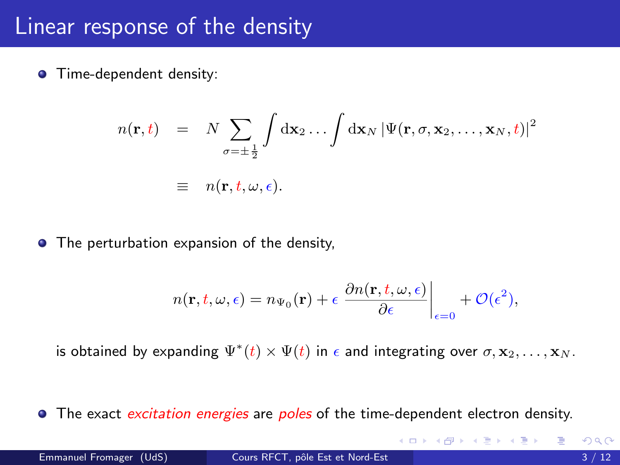#### <span id="page-2-0"></span>Linear response of the density

**O** Time-dependent density:

$$
n(\mathbf{r},t) = N \sum_{\sigma=\pm\frac{1}{2}} \int d\mathbf{x}_2 \dots \int d\mathbf{x}_N |\Psi(\mathbf{r},\sigma,\mathbf{x}_2,\dots,\mathbf{x}_N,t)|^2
$$
  

$$
\equiv n(\mathbf{r},t,\omega,\epsilon).
$$

• The perturbation expansion of the density,

$$
n(\mathbf{r}, t, \omega, \epsilon) = n_{\Psi_0}(\mathbf{r}) + \epsilon \left. \frac{\partial n(\mathbf{r}, t, \omega, \epsilon)}{\partial \epsilon} \right|_{\epsilon=0} + \mathcal{O}(\epsilon^2),
$$

is obtained by expanding  $\Psi^*(t)\times\Psi(t)$  in  $\epsilon$  and integrating over  $\sigma,\mathbf{x}_2,\ldots,\mathbf{x}_N.$ 

• The exact excitation energies are poles of the time-dependent electron density.

K ロ ⊁ K 個 ≯ K 君 ⊁ K 君 ≯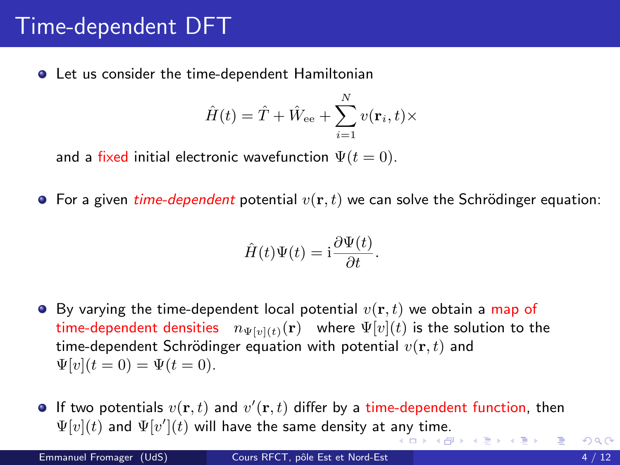# <span id="page-3-0"></span>Time-dependent DFT

● Let us consider the time-dependent Hamiltonian

$$
\hat{H}(t) = \hat{T} + \hat{W}_{\text{ee}} + \sum_{i=1}^{N} v(\mathbf{r}_i, t) \times
$$

and a fixed initial electronic wavefunction  $\Psi(t=0)$ .

**•** For a given time-dependent potential  $v(\mathbf{r}, t)$  we can solve the Schrödinger equation:

$$
\hat{H}(t)\Psi(t) = \mathrm{i}\frac{\partial \Psi(t)}{\partial t}.
$$

- $\bullet$  By varying the time-dependent local potential  $v(\mathbf{r}, t)$  we obtain a map of time-dependent densities  $n_{\Psi[n](t)}(\mathbf{r})$  where  $\Psi[v](t)$  is the solution to the time-dependent Schrödinger equation with potential  $v(\mathbf{r}, t)$  and  $\Psi[v](t=0) = \Psi(t=0).$
- If two potentials  $v(\mathbf{r},t)$  and  $v'(\mathbf{r},t)$  differ by a time-dependent function, then  $\Psi[v](t)$  and  $\Psi[v'](t)$  will have the same density at [any](#page-2-0) [ti](#page-4-0)[m](#page-2-0)[e.](#page-3-0)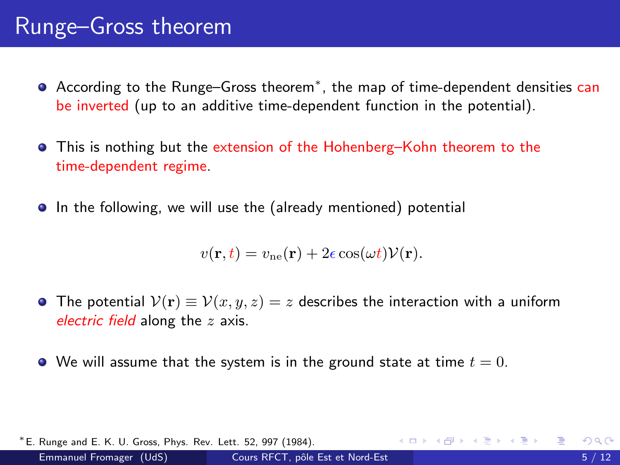## <span id="page-4-0"></span>Runge–Gross theorem

- According to the Runge–Gross theorem<sup>∗</sup>, the map of time-dependent densities can be inverted (up to an additive time-dependent function in the potential).
- **•** This is nothing but the extension of the Hohenberg–Kohn theorem to the time-dependent regime.
- **•** In the following, we will use the (already mentioned) potential

$$
v(\mathbf{r},t) = v_{\text{ne}}(\mathbf{r}) + 2\epsilon \cos(\omega t) \mathcal{V}(\mathbf{r}).
$$

- The potential  $V(\mathbf{r}) \equiv V(x, y, z) = z$  describes the interaction with a uniform electric field along the  $z$  axis.
- We will assume that the system is in the ground state at time  $t = 0$ .

| * E. Runge and E. K. U. Gross, Phys. Rev. Lett. 52, 997 (1984). |                                  |  | - ∢ ロ ▶ ∢ 伊 ▶ ∢ ヨ ▶ ∢ ヨ ▶ │ ヨ │ ◆೧,९ (^ |      |
|-----------------------------------------------------------------|----------------------------------|--|-----------------------------------------|------|
| Emmanuel Fromager (UdS)                                         | Cours RFCT, pôle Est et Nord-Est |  |                                         | 5/12 |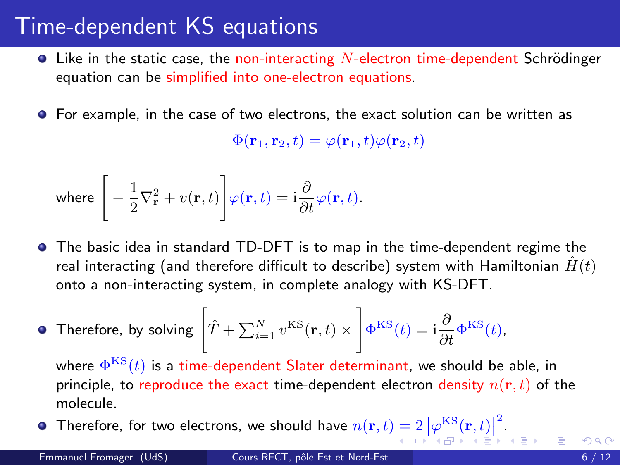## <span id="page-5-0"></span>Time-dependent KS equations

- $\bullet$  Like in the static case, the non-interacting N-electron time-dependent Schrödinger equation can be simplified into one-electron equations.
- For example, in the case of two electrons, the exact solution can be written as

 $\Phi(\mathbf{r}_1, \mathbf{r}_2, t) = \varphi(\mathbf{r}_1, t) \varphi(\mathbf{r}_2, t)$ 

where 
$$
\left[-\frac{1}{2}\nabla_{\mathbf{r}}^{2} + v(\mathbf{r},t)\right]\varphi(\mathbf{r},t) = i\frac{\partial}{\partial t}\varphi(\mathbf{r},t).
$$

**•** The basic idea in standard TD-DFT is to map in the time-dependent regime the real interacting (and therefore difficult to describe) system with Hamiltonian  $\hat{H}(t)$ onto a non-interacting system, in complete analogy with KS-DFT.

• Therefore, by solving 
$$
\left[\hat{T} + \sum_{i=1}^{N} v^{\text{KS}}(\mathbf{r}, t) \times \left| \Phi^{\text{KS}}(t) = i \frac{\partial}{\partial t} \Phi^{\text{KS}}(t) \right| \right]
$$

where  $\Phi^{\mathrm{KS}}(t)$  is a time-dependent Slater determinant, we should be able, in principle, to reproduce the exact time-dependent electron density  $n(\mathbf{r}, t)$  of the molecule.

Therefore, for two electrons, we should have  $n(\mathbf{r},t) = 2 \left|\varphi^{\mathrm{KS}}(\mathbf{r},t)\right|^2$  $n(\mathbf{r},t) = 2 \left|\varphi^{\mathrm{KS}}(\mathbf{r},t)\right|^2$  $n(\mathbf{r},t) = 2 \left|\varphi^{\mathrm{KS}}(\mathbf{r},t)\right|^2$  $n(\mathbf{r},t) = 2 \left|\varphi^{\mathrm{KS}}(\mathbf{r},t)\right|^2$  $n(\mathbf{r},t) = 2 \left|\varphi^{\mathrm{KS}}(\mathbf{r},t)\right|^2$ [.](#page-0-0)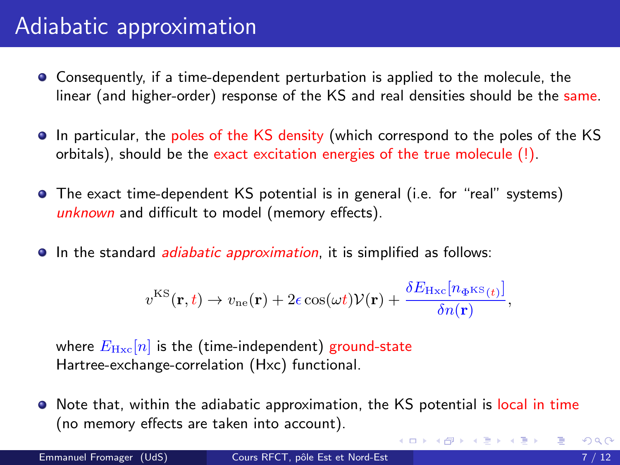## <span id="page-6-0"></span>Adiabatic approximation

- Consequently, if a time-dependent perturbation is applied to the molecule, the linear (and higher-order) response of the KS and real densities should be the same.
- In particular, the poles of the KS density (which correspond to the poles of the KS orbitals), should be the exact excitation energies of the true molecule (!).
- The exact time-dependent KS potential is in general (i.e. for "real" systems) unknown and difficult to model (memory effects).
- **In the standard** *adiabatic approximation*, it is simplified as follows:

$$
v^{\text{KS}}(\mathbf{r},t) \rightarrow v_{\text{ne}}(\mathbf{r}) + 2\epsilon \cos(\omega t)\mathcal{V}(\mathbf{r}) + \frac{\delta E_{\text{Hxc}}[n_{\Phi^{\text{KS}}(t)}]}{\delta n(\mathbf{r})},
$$

where  $E_{\text{Hxc}}[n]$  is the (time-independent) ground-state Hartree-exchange-correlation (Hxc) functional.

Note that, within the adiabatic approximation, the KS potential is local in time (no memory effects are taken into account).

イロト イ押ト イヨト イヨト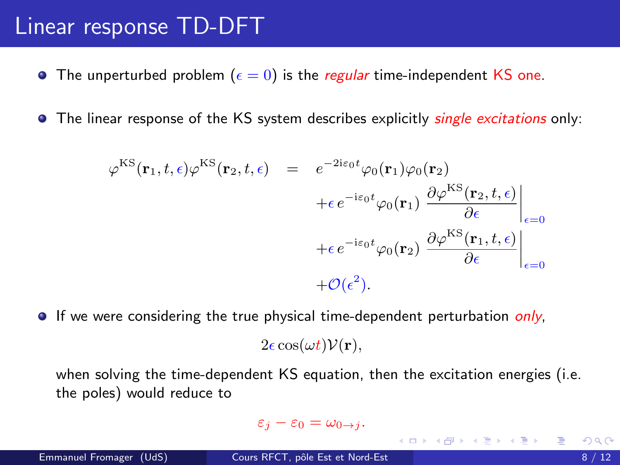#### <span id="page-7-0"></span>Linear response TD-DFT

- **•** The unperturbed problem ( $\epsilon = 0$ ) is the *regular* time-independent KS one.
- The linear response of the KS system describes explicitly single excitations only:

$$
\varphi^{\text{KS}}(\mathbf{r}_{1}, t, \epsilon) \varphi^{\text{KS}}(\mathbf{r}_{2}, t, \epsilon) = e^{-2i\epsilon_{0}t} \varphi_{0}(\mathbf{r}_{1}) \varphi_{0}(\mathbf{r}_{2}) \n+ \epsilon e^{-i\epsilon_{0}t} \varphi_{0}(\mathbf{r}_{1}) \left. \frac{\partial \varphi^{\text{KS}}(\mathbf{r}_{2}, t, \epsilon)}{\partial \epsilon} \right|_{\epsilon=0} \n+ \epsilon e^{-i\epsilon_{0}t} \varphi_{0}(\mathbf{r}_{2}) \left. \frac{\partial \varphi^{\text{KS}}(\mathbf{r}_{1}, t, \epsilon)}{\partial \epsilon} \right|_{\epsilon=0} \n+ \mathcal{O}(\epsilon^{2}).
$$

 $\bullet$  If we were considering the true physical time-dependent perturbation *only*,

 $2\epsilon \cos(\omega t) \mathcal{V}(\mathbf{r}),$ 

when solving the time-dependent KS equation, then the excitation energies (i.e. the poles) would reduce to

$$
\varepsilon_j-\varepsilon_0=\omega_{0\to j}.
$$

メロメ メ母メ メミメ メミメー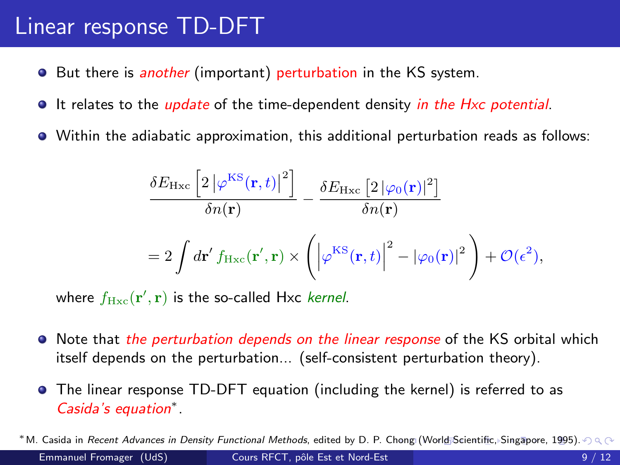#### <span id="page-8-0"></span>Linear response TD-DFT

- **•** But there is *another* (important) perturbation in the KS system.
- It relates to the *update* of the time-dependent density in the Hxc potential.
- Within the adiabatic approximation, this additional perturbation reads as follows:

$$
\frac{\delta E_{\rm Hxc} \left[2\left|\varphi^{\rm KS}(\mathbf{r},t)\right|^2\right]}{\delta n(\mathbf{r})} - \frac{\delta E_{\rm Hxc} \left[2\left|\varphi_0(\mathbf{r})\right|^2\right]}{\delta n(\mathbf{r})}
$$

$$
= 2 \int d\mathbf{r}' f_{\rm Hxc}(\mathbf{r}',\mathbf{r}) \times \left(\left|\varphi^{\rm KS}(\mathbf{r},t)\right|^2 - \left|\varphi_0(\mathbf{r})\right|^2\right) + \mathcal{O}(\epsilon^2),
$$

where  $f_{\rm Hxc}({\bf r}', {\bf r})$  is the so-called Hxc *kernel*.

- Note that the perturbation depends on the linear response of the KS orbital which itself depends on the perturbation... (self-consistent perturbation theory).
- The linear response TD-DFT equation (including the kernel) is referred to as Casida's equation<sup>∗</sup> .

<sup>\*</sup>M. Casida in Recent Advances in Density Functional Methods, edited by D. P. C[hon](#page-7-0)g [\(W](#page-9-0)[or](#page-7-0)[ld S](#page-8-0)[ci](#page-9-0)[entifi](#page-0-0)[c, S](#page-11-0)[inga](#page-0-0)[pore](#page-11-0)[, 1](#page-0-0)[995\).](#page-11-0)  $\cap \mathbb{Q}$ Emmanuel Fromager (UdS) Cours RFCT, pôle Est et Nord-Est 9 / 12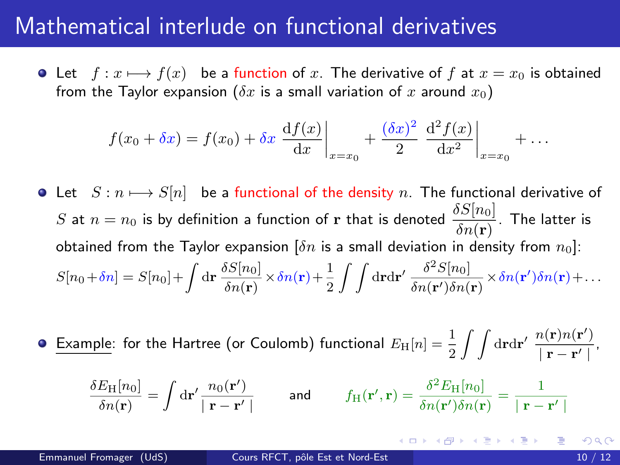#### <span id="page-9-0"></span>Mathematical interlude on functional derivatives

 $\bullet$  Let  $f: x \longmapsto f(x)$  be a function of x. The derivative of f at  $x = x_0$  is obtained from the Taylor expansion ( $\delta x$  is a small variation of x around  $x_0$ )

$$
f(x_0 + \delta x) = f(x_0) + \delta x \left. \frac{df(x)}{dx} \right|_{x=x_0} + \frac{(\delta x)^2}{2} \left. \frac{d^2 f(x)}{dx^2} \right|_{x=x_0} + \dots
$$

- Let  $S : n \mapsto S[n]$  be a functional of the density n. The functional derivative of  $S$  at  $n=n_0$  is by definition a function of  ${\bf r}$  that is denoted  $\frac{\delta S[n_0]}{\delta n({\bf r})}.$  The latter is obtained from the Taylor expansion  $[\delta n]$  is a small deviation in density from  $n_0$ ]:  $S[n_0 + \delta n] = S[n_0] + \int d\mathbf{r} \frac{\delta S[n_0]}{S_{\text{tot}}(\mathbf{r})}$  $\frac{\delta S[n_0]}{\delta n({\bf r})}$   $\times$   $\delta n({\bf r})$   $+$   $\frac{1}{2}$  $\frac{1}{2}\int\int{\rm d}{\bf r} {\rm d}{\bf r}^\prime\, \frac{\delta^2 S[n_0]}{\delta n({\bf r}^\prime)\delta n(}$  $\frac{\partial^2 \beta[n_0]}{\partial n(\mathbf{r}')\delta n(\mathbf{r})} \times \delta n(\mathbf{r}')\delta n(\mathbf{r}) + \dots$
- <u>Example</u>: for the Hartree (or Coulomb) functional  $E_{\rm H}[n]=\frac{1}{2}\int\int{\rm d} {\bf r}{\rm d}{\bf r}'\; \frac{n({\bf r})n({\bf r}')}{|{\bf r}-{\bf r}'|}$  $\frac{\Gamma(\mathbf{r})\Gamma(\mathbf{r})}{\left|\mathbf{r}-\mathbf{r}'\right|},$

$$
\frac{\delta E_{\rm H}[n_0]}{\delta n(\mathbf{r})} = \int d\mathbf{r}' \frac{n_0(\mathbf{r}')}{|\mathbf{r} - \mathbf{r}'|} \quad \text{and} \quad f_{\rm H}(\mathbf{r}', \mathbf{r}) = \frac{\delta^2 E_{\rm H}[n_0]}{\delta n(\mathbf{r}') \delta n(\mathbf{r})} = \frac{1}{|\mathbf{r} - \mathbf{r}'|}
$$

K ロ ▶ K @ ▶ K 할 ▶ K 할 ▶ ① 할 → ① Q @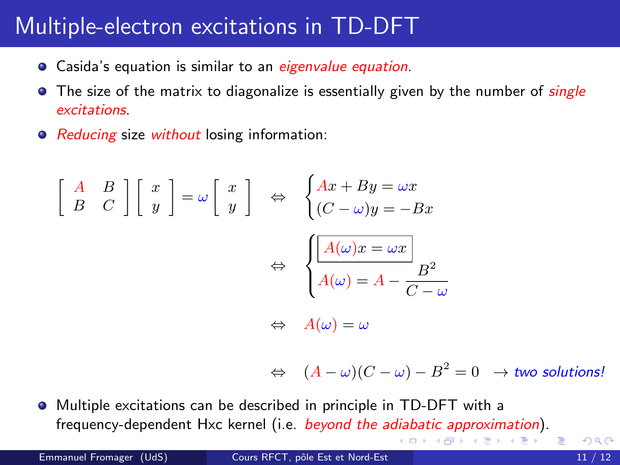## Multiple-electron excitations in TD-DFT

- **•** Casida's equation is similar to an eigenvalue equation.
- $\bullet$  The size of the matrix to diagonalize is essentially given by the number of *single* excitations.
- Reducing size without losing information:

$$
\begin{bmatrix} A & B \\ B & C \end{bmatrix} \begin{bmatrix} x \\ y \end{bmatrix} = \omega \begin{bmatrix} x \\ y \end{bmatrix} \Leftrightarrow \begin{cases} Ax + By = \omega x \\ (C - \omega)y = -Bx \end{cases}
$$

$$
\Leftrightarrow \begin{cases} \boxed{A(\omega)x = \omega x} \\ A(\omega) = A - \frac{B^2}{C - \omega} \end{cases}
$$

$$
\Leftrightarrow A(\omega) = \omega
$$

 $\Leftrightarrow\quad (A-\omega)(C-\omega)-B^2=0\quad\to\mathit{two}\,\,\mathit{solutions}$ 

◂◻▸ ◂<del>⁄</del>ฅ ▸

Multiple excitations can be described in principle in TD-DFT with a frequency-dependent Hxc kernel (i.e. beyond the adiabatic approximation). **A BAK A BAK BA**